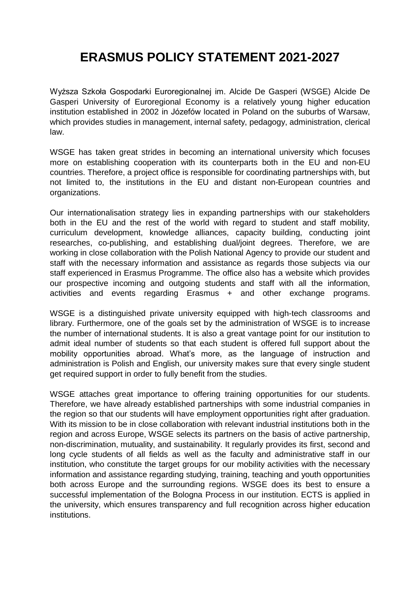## **ERASMUS POLICY STATEMENT 2021-2027**

Wyższa Szkoła Gospodarki Euroregionalnej im. Alcide De Gasperi (WSGE) Alcide De Gasperi University of Euroregional Economy is a relatively young higher education institution established in 2002 in Józefów located in Poland on the suburbs of Warsaw, which provides studies in management, internal safety, pedagogy, administration, clerical law.

WSGE has taken great strides in becoming an international university which focuses more on establishing cooperation with its counterparts both in the EU and non-EU countries. Therefore, a project office is responsible for coordinating partnerships with, but not limited to, the institutions in the EU and distant non-European countries and organizations.

Our internationalisation strategy lies in expanding partnerships with our stakeholders both in the EU and the rest of the world with regard to student and staff mobility, curriculum development, knowledge alliances, capacity building, conducting joint researches, co-publishing, and establishing dual/joint degrees. Therefore, we are working in close collaboration with the Polish National Agency to provide our student and staff with the necessary information and assistance as regards those subjects via our staff experienced in Erasmus Programme. The office also has a website which provides our prospective incoming and outgoing students and staff with all the information, activities and events regarding Erasmus + and other exchange programs.

WSGE is a distinguished private university equipped with high-tech classrooms and library. Furthermore, one of the goals set by the administration of WSGE is to increase the number of international students. It is also a great vantage point for our institution to admit ideal number of students so that each student is offered full support about the mobility opportunities abroad. What's more, as the language of instruction and administration is Polish and English, our university makes sure that every single student get required support in order to fully benefit from the studies.

WSGE attaches great importance to offering training opportunities for our students. Therefore, we have already established partnerships with some industrial companies in the region so that our students will have employment opportunities right after graduation. With its mission to be in close collaboration with relevant industrial institutions both in the region and across Europe, WSGE selects its partners on the basis of active partnership, non-discrimination, mutuality, and sustainability. It regularly provides its first, second and long cycle students of all fields as well as the faculty and administrative staff in our institution, who constitute the target groups for our mobility activities with the necessary information and assistance regarding studying, training, teaching and youth opportunities both across Europe and the surrounding regions. WSGE does its best to ensure a successful implementation of the Bologna Process in our institution. ECTS is applied in the university, which ensures transparency and full recognition across higher education institutions.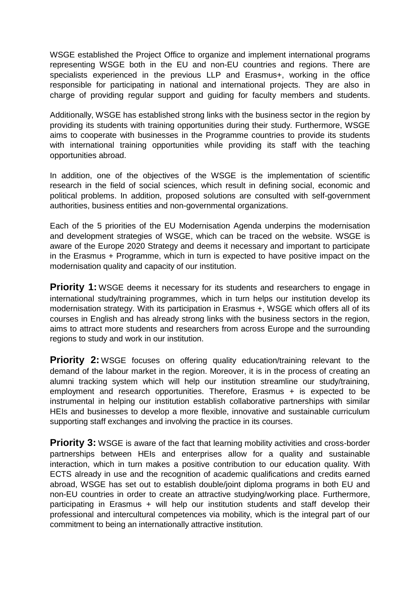WSGE established the Project Office to organize and implement international programs representing WSGE both in the EU and non-EU countries and regions. There are specialists experienced in the previous LLP and Erasmus+, working in the office responsible for participating in national and international projects. They are also in charge of providing regular support and guiding for faculty members and students.

Additionally, WSGE has established strong links with the business sector in the region by providing its students with training opportunities during their study. Furthermore, WSGE aims to cooperate with businesses in the Programme countries to provide its students with international training opportunities while providing its staff with the teaching opportunities abroad.

In addition, one of the objectives of the WSGE is the implementation of scientific research in the field of social sciences, which result in defining social, economic and political problems. In addition, proposed solutions are consulted with self-government authorities, business entities and non-governmental organizations.

Each of the 5 priorities of the EU Modernisation Agenda underpins the modernisation and development strategies of WSGE, which can be traced on the website. WSGE is aware of the Europe 2020 Strategy and deems it necessary and important to participate in the Erasmus + Programme, which in turn is expected to have positive impact on the modernisation quality and capacity of our institution.

**Priority 1:** WSGE deems it necessary for its students and researchers to engage in international study/training programmes, which in turn helps our institution develop its modernisation strategy. With its participation in Erasmus +, WSGE which offers all of its courses in English and has already strong links with the business sectors in the region, aims to attract more students and researchers from across Europe and the surrounding regions to study and work in our institution.

**Priority 2:** WSGE focuses on offering quality education/training relevant to the demand of the labour market in the region. Moreover, it is in the process of creating an alumni tracking system which will help our institution streamline our study/training, employment and research opportunities. Therefore, Erasmus + is expected to be instrumental in helping our institution establish collaborative partnerships with similar HEIs and businesses to develop a more flexible, innovative and sustainable curriculum supporting staff exchanges and involving the practice in its courses.

**Priority 3:** WSGE is aware of the fact that learning mobility activities and cross-border partnerships between HEIs and enterprises allow for a quality and sustainable interaction, which in turn makes a positive contribution to our education quality. With ECTS already in use and the recognition of academic qualifications and credits earned abroad, WSGE has set out to establish double/joint diploma programs in both EU and non-EU countries in order to create an attractive studying/working place. Furthermore, participating in Erasmus + will help our institution students and staff develop their professional and intercultural competences via mobility, which is the integral part of our commitment to being an internationally attractive institution.